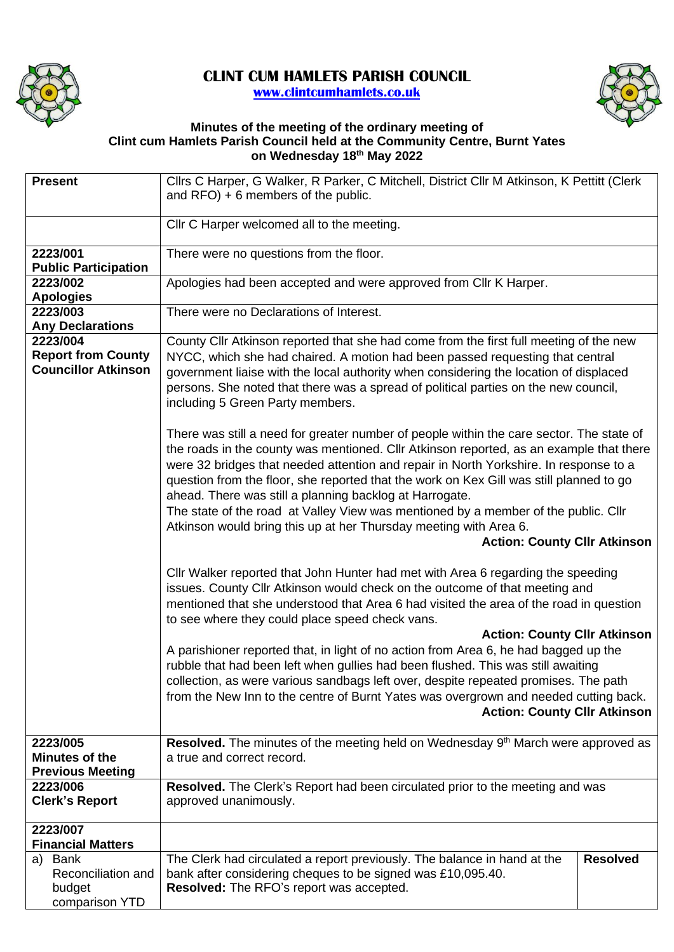

## **CLINT CUM HAMLETS PARISH COUNCIL [www.clintcumhamlets.co.uk](http://www.clintcumhamlets.co.uk/)**



## **Minutes of the meeting of the ordinary meeting of Clint cum Hamlets Parish Council held at the Community Centre, Burnt Yates on Wednesday 18 th May 2022**

| <b>Present</b>                                               | Cllrs C Harper, G Walker, R Parker, C Mitchell, District Cllr M Atkinson, K Pettitt (Clerk                                                                                                                                                                                                                                                                                                                                                                                                                                                                                                                                           |  |  |  |  |
|--------------------------------------------------------------|--------------------------------------------------------------------------------------------------------------------------------------------------------------------------------------------------------------------------------------------------------------------------------------------------------------------------------------------------------------------------------------------------------------------------------------------------------------------------------------------------------------------------------------------------------------------------------------------------------------------------------------|--|--|--|--|
|                                                              | and $RFO$ ) + 6 members of the public.                                                                                                                                                                                                                                                                                                                                                                                                                                                                                                                                                                                               |  |  |  |  |
|                                                              | Cllr C Harper welcomed all to the meeting.                                                                                                                                                                                                                                                                                                                                                                                                                                                                                                                                                                                           |  |  |  |  |
| 2223/001                                                     | There were no questions from the floor.                                                                                                                                                                                                                                                                                                                                                                                                                                                                                                                                                                                              |  |  |  |  |
| <b>Public Participation</b>                                  |                                                                                                                                                                                                                                                                                                                                                                                                                                                                                                                                                                                                                                      |  |  |  |  |
| 2223/002<br><b>Apologies</b>                                 | Apologies had been accepted and were approved from Cllr K Harper.                                                                                                                                                                                                                                                                                                                                                                                                                                                                                                                                                                    |  |  |  |  |
| 2223/003                                                     | There were no Declarations of Interest.                                                                                                                                                                                                                                                                                                                                                                                                                                                                                                                                                                                              |  |  |  |  |
| <b>Any Declarations</b><br>2223/004                          |                                                                                                                                                                                                                                                                                                                                                                                                                                                                                                                                                                                                                                      |  |  |  |  |
| <b>Report from County</b><br><b>Councillor Atkinson</b>      | County Cllr Atkinson reported that she had come from the first full meeting of the new<br>NYCC, which she had chaired. A motion had been passed requesting that central<br>government liaise with the local authority when considering the location of displaced<br>persons. She noted that there was a spread of political parties on the new council,<br>including 5 Green Party members.                                                                                                                                                                                                                                          |  |  |  |  |
|                                                              | There was still a need for greater number of people within the care sector. The state of<br>the roads in the county was mentioned. Cllr Atkinson reported, as an example that there<br>were 32 bridges that needed attention and repair in North Yorkshire. In response to a<br>question from the floor, she reported that the work on Kex Gill was still planned to go<br>ahead. There was still a planning backlog at Harrogate.<br>The state of the road at Valley View was mentioned by a member of the public. Cllr<br>Atkinson would bring this up at her Thursday meeting with Area 6.<br><b>Action: County Cllr Atkinson</b> |  |  |  |  |
|                                                              | CIIr Walker reported that John Hunter had met with Area 6 regarding the speeding<br>issues. County Cllr Atkinson would check on the outcome of that meeting and<br>mentioned that she understood that Area 6 had visited the area of the road in question<br>to see where they could place speed check vans.                                                                                                                                                                                                                                                                                                                         |  |  |  |  |
|                                                              | <b>Action: County Cllr Atkinson</b><br>A parishioner reported that, in light of no action from Area 6, he had bagged up the<br>rubble that had been left when gullies had been flushed. This was still awaiting<br>collection, as were various sandbags left over, despite repeated promises. The path<br>from the New Inn to the centre of Burnt Yates was overgrown and needed cutting back.<br><b>Action: County Cllr Atkinson</b>                                                                                                                                                                                                |  |  |  |  |
| 2223/005<br>Minutes of the<br><b>Previous Meeting</b>        | Resolved. The minutes of the meeting held on Wednesday 9 <sup>th</sup> March were approved as<br>a true and correct record.                                                                                                                                                                                                                                                                                                                                                                                                                                                                                                          |  |  |  |  |
| 2223/006<br><b>Clerk's Report</b>                            | Resolved. The Clerk's Report had been circulated prior to the meeting and was<br>approved unanimously.                                                                                                                                                                                                                                                                                                                                                                                                                                                                                                                               |  |  |  |  |
| 2223/007<br><b>Financial Matters</b>                         |                                                                                                                                                                                                                                                                                                                                                                                                                                                                                                                                                                                                                                      |  |  |  |  |
| Bank<br>a)<br>Reconciliation and<br>budget<br>comparison YTD | The Clerk had circulated a report previously. The balance in hand at the<br><b>Resolved</b><br>bank after considering cheques to be signed was £10,095.40.<br>Resolved: The RFO's report was accepted.                                                                                                                                                                                                                                                                                                                                                                                                                               |  |  |  |  |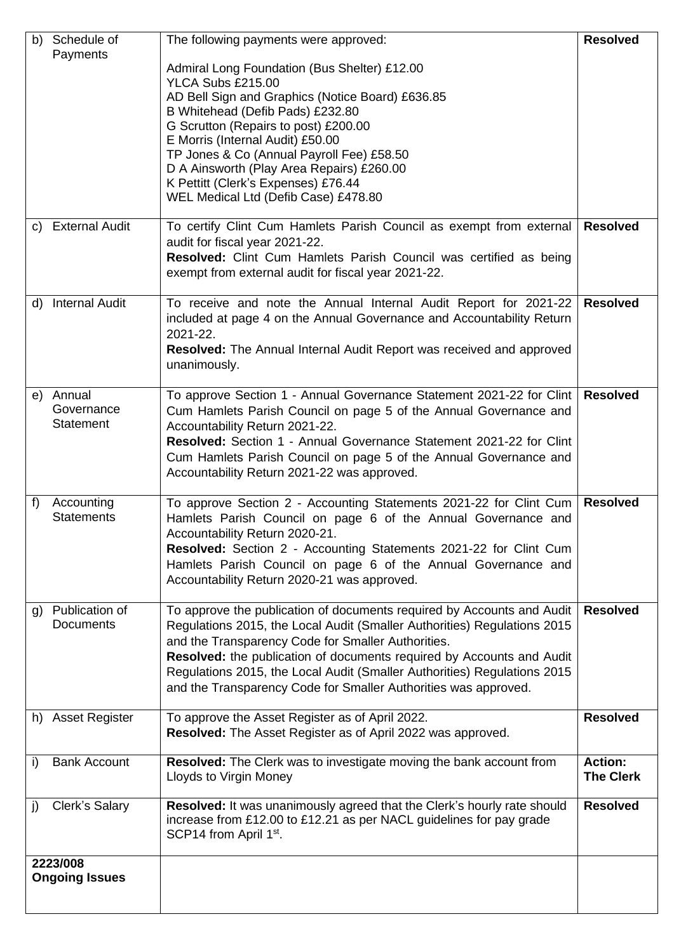| b) | Schedule of                     | The following payments were approved:                                                                                                    | <b>Resolved</b>  |  |  |
|----|---------------------------------|------------------------------------------------------------------------------------------------------------------------------------------|------------------|--|--|
|    | Payments                        | Admiral Long Foundation (Bus Shelter) £12.00                                                                                             |                  |  |  |
|    |                                 | YLCA Subs £215.00                                                                                                                        |                  |  |  |
|    |                                 | AD Bell Sign and Graphics (Notice Board) £636.85                                                                                         |                  |  |  |
|    |                                 | B Whitehead (Defib Pads) £232.80<br>G Scrutton (Repairs to post) £200.00                                                                 |                  |  |  |
|    |                                 | E Morris (Internal Audit) £50.00                                                                                                         |                  |  |  |
|    |                                 | TP Jones & Co (Annual Payroll Fee) £58.50<br>D A Ainsworth (Play Area Repairs) £260.00                                                   |                  |  |  |
|    |                                 | K Pettitt (Clerk's Expenses) £76.44                                                                                                      |                  |  |  |
|    |                                 | WEL Medical Ltd (Defib Case) £478.80                                                                                                     |                  |  |  |
|    | c) External Audit               | To certify Clint Cum Hamlets Parish Council as exempt from external                                                                      | <b>Resolved</b>  |  |  |
|    |                                 | audit for fiscal year 2021-22.                                                                                                           |                  |  |  |
|    |                                 | Resolved: Clint Cum Hamlets Parish Council was certified as being                                                                        |                  |  |  |
|    |                                 | exempt from external audit for fiscal year 2021-22.                                                                                      |                  |  |  |
| d) | <b>Internal Audit</b>           | To receive and note the Annual Internal Audit Report for 2021-22                                                                         | <b>Resolved</b>  |  |  |
|    |                                 | included at page 4 on the Annual Governance and Accountability Return<br>2021-22.                                                        |                  |  |  |
|    |                                 | <b>Resolved:</b> The Annual Internal Audit Report was received and approved                                                              |                  |  |  |
|    |                                 | unanimously.                                                                                                                             |                  |  |  |
|    | e) Annual                       | To approve Section 1 - Annual Governance Statement 2021-22 for Clint                                                                     | <b>Resolved</b>  |  |  |
|    | Governance                      | Cum Hamlets Parish Council on page 5 of the Annual Governance and                                                                        |                  |  |  |
|    | <b>Statement</b>                | Accountability Return 2021-22.                                                                                                           |                  |  |  |
|    |                                 | Resolved: Section 1 - Annual Governance Statement 2021-22 for Clint<br>Cum Hamlets Parish Council on page 5 of the Annual Governance and |                  |  |  |
|    |                                 | Accountability Return 2021-22 was approved.                                                                                              |                  |  |  |
|    |                                 |                                                                                                                                          |                  |  |  |
| f) | Accounting<br><b>Statements</b> | To approve Section 2 - Accounting Statements 2021-22 for Clint Cum<br>Hamlets Parish Council on page 6 of the Annual Governance and      | <b>Resolved</b>  |  |  |
|    |                                 | Accountability Return 2020-21.                                                                                                           |                  |  |  |
|    |                                 | Resolved: Section 2 - Accounting Statements 2021-22 for Clint Cum                                                                        |                  |  |  |
|    |                                 | Hamlets Parish Council on page 6 of the Annual Governance and<br>Accountability Return 2020-21 was approved.                             |                  |  |  |
|    |                                 |                                                                                                                                          |                  |  |  |
| g) | Publication of                  | To approve the publication of documents required by Accounts and Audit                                                                   | <b>Resolved</b>  |  |  |
|    | <b>Documents</b>                | Regulations 2015, the Local Audit (Smaller Authorities) Regulations 2015<br>and the Transparency Code for Smaller Authorities.           |                  |  |  |
|    |                                 | Resolved: the publication of documents required by Accounts and Audit                                                                    |                  |  |  |
|    |                                 | Regulations 2015, the Local Audit (Smaller Authorities) Regulations 2015                                                                 |                  |  |  |
|    |                                 | and the Transparency Code for Smaller Authorities was approved.                                                                          |                  |  |  |
|    | h) Asset Register               | To approve the Asset Register as of April 2022.                                                                                          | <b>Resolved</b>  |  |  |
|    |                                 | Resolved: The Asset Register as of April 2022 was approved.                                                                              |                  |  |  |
| i) | <b>Bank Account</b>             | Resolved: The Clerk was to investigate moving the bank account from                                                                      | <b>Action:</b>   |  |  |
|    |                                 | Lloyds to Virgin Money                                                                                                                   | <b>The Clerk</b> |  |  |
| j) | Clerk's Salary                  | Resolved: It was unanimously agreed that the Clerk's hourly rate should                                                                  | <b>Resolved</b>  |  |  |
|    |                                 | increase from £12.00 to £12.21 as per NACL guidelines for pay grade<br>SCP14 from April 1 <sup>st</sup> .                                |                  |  |  |
|    |                                 |                                                                                                                                          |                  |  |  |
|    | 2223/008                        |                                                                                                                                          |                  |  |  |
|    | <b>Ongoing Issues</b>           |                                                                                                                                          |                  |  |  |
|    |                                 |                                                                                                                                          |                  |  |  |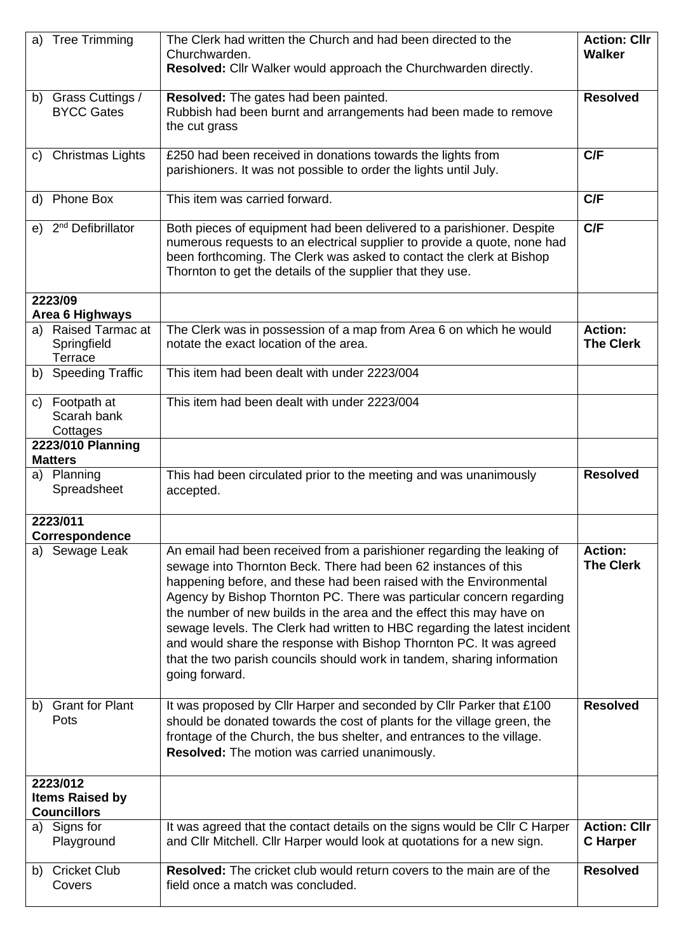| <b>Tree Trimming</b><br>a)                               | The Clerk had written the Church and had been directed to the<br>Churchwarden.<br>Resolved: Cllr Walker would approach the Churchwarden directly.                                                                                                                                                                                                                                                                                                                                                                                                                                                               | <b>Action: Cllr</b><br><b>Walker</b>   |
|----------------------------------------------------------|-----------------------------------------------------------------------------------------------------------------------------------------------------------------------------------------------------------------------------------------------------------------------------------------------------------------------------------------------------------------------------------------------------------------------------------------------------------------------------------------------------------------------------------------------------------------------------------------------------------------|----------------------------------------|
| b) Grass Cuttings /<br><b>BYCC Gates</b>                 | Resolved: The gates had been painted.<br>Rubbish had been burnt and arrangements had been made to remove<br>the cut grass                                                                                                                                                                                                                                                                                                                                                                                                                                                                                       | <b>Resolved</b>                        |
| <b>Christmas Lights</b><br>C)                            | £250 had been received in donations towards the lights from<br>parishioners. It was not possible to order the lights until July.                                                                                                                                                                                                                                                                                                                                                                                                                                                                                | C/F                                    |
| d) Phone Box                                             | This item was carried forward.                                                                                                                                                                                                                                                                                                                                                                                                                                                                                                                                                                                  | C/F                                    |
| e) 2 <sup>nd</sup> Defibrillator                         | Both pieces of equipment had been delivered to a parishioner. Despite<br>numerous requests to an electrical supplier to provide a quote, none had<br>been forthcoming. The Clerk was asked to contact the clerk at Bishop<br>Thornton to get the details of the supplier that they use.                                                                                                                                                                                                                                                                                                                         | C/F                                    |
| 2223/09<br>Area 6 Highways                               |                                                                                                                                                                                                                                                                                                                                                                                                                                                                                                                                                                                                                 |                                        |
| a) Raised Tarmac at<br>Springfield<br>Terrace            | The Clerk was in possession of a map from Area 6 on which he would<br>notate the exact location of the area.                                                                                                                                                                                                                                                                                                                                                                                                                                                                                                    | <b>Action:</b><br><b>The Clerk</b>     |
| b) Speeding Traffic                                      | This item had been dealt with under 2223/004                                                                                                                                                                                                                                                                                                                                                                                                                                                                                                                                                                    |                                        |
| c) Footpath at<br>Scarah bank<br>Cottages                | This item had been dealt with under 2223/004                                                                                                                                                                                                                                                                                                                                                                                                                                                                                                                                                                    |                                        |
| 2223/010 Planning<br><b>Matters</b>                      |                                                                                                                                                                                                                                                                                                                                                                                                                                                                                                                                                                                                                 |                                        |
| a) Planning<br>Spreadsheet                               | This had been circulated prior to the meeting and was unanimously<br>accepted.                                                                                                                                                                                                                                                                                                                                                                                                                                                                                                                                  | <b>Resolved</b>                        |
| 2223/011<br><b>Correspondence</b>                        |                                                                                                                                                                                                                                                                                                                                                                                                                                                                                                                                                                                                                 |                                        |
| a) Sewage Leak                                           | An email had been received from a parishioner regarding the leaking of<br>sewage into Thornton Beck. There had been 62 instances of this<br>happening before, and these had been raised with the Environmental<br>Agency by Bishop Thornton PC. There was particular concern regarding<br>the number of new builds in the area and the effect this may have on<br>sewage levels. The Clerk had written to HBC regarding the latest incident<br>and would share the response with Bishop Thornton PC. It was agreed<br>that the two parish councils should work in tandem, sharing information<br>going forward. | <b>Action:</b><br><b>The Clerk</b>     |
| <b>Grant for Plant</b><br>b)<br>Pots                     | It was proposed by Cllr Harper and seconded by Cllr Parker that £100<br>should be donated towards the cost of plants for the village green, the<br>frontage of the Church, the bus shelter, and entrances to the village.<br>Resolved: The motion was carried unanimously.                                                                                                                                                                                                                                                                                                                                      | <b>Resolved</b>                        |
| 2223/012<br><b>Items Raised by</b><br><b>Councillors</b> |                                                                                                                                                                                                                                                                                                                                                                                                                                                                                                                                                                                                                 |                                        |
| Signs for<br>a)<br>Playground                            | It was agreed that the contact details on the signs would be Cllr C Harper<br>and Cllr Mitchell. Cllr Harper would look at quotations for a new sign.                                                                                                                                                                                                                                                                                                                                                                                                                                                           | <b>Action: Cllr</b><br><b>C</b> Harper |
| b) Cricket Club<br>Covers                                | <b>Resolved:</b> The cricket club would return covers to the main are of the<br>field once a match was concluded.                                                                                                                                                                                                                                                                                                                                                                                                                                                                                               | <b>Resolved</b>                        |